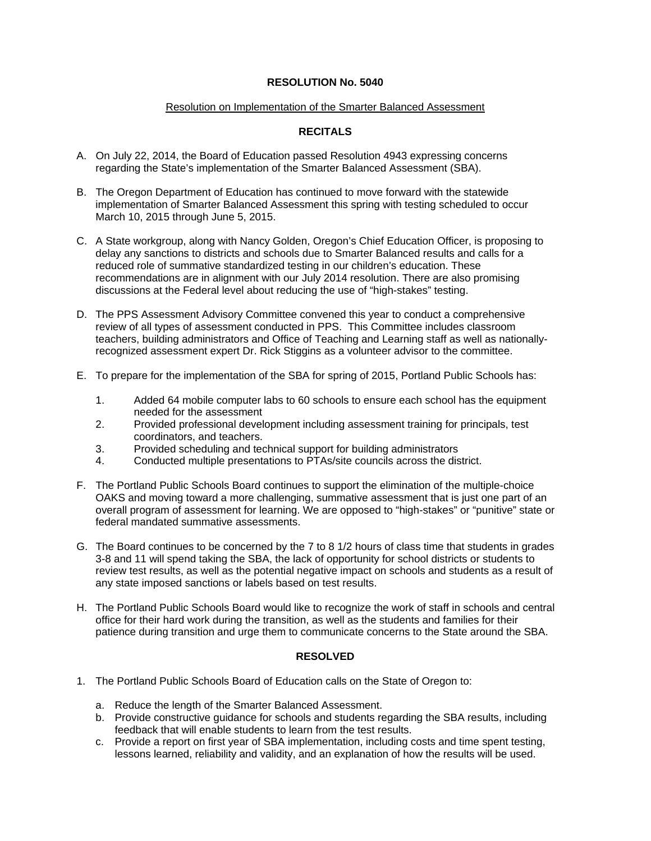## **RESOLUTION No. 5040**

## Resolution on Implementation of the Smarter Balanced Assessment

## **RECITALS**

- A. On July 22, 2014, the Board of Education passed Resolution 4943 expressing concerns regarding the State's implementation of the Smarter Balanced Assessment (SBA).
- B. The Oregon Department of Education has continued to move forward with the statewide implementation of Smarter Balanced Assessment this spring with testing scheduled to occur March 10, 2015 through June 5, 2015.
- C. A State workgroup, along with Nancy Golden, Oregon's Chief Education Officer, is proposing to delay any sanctions to districts and schools due to Smarter Balanced results and calls for a reduced role of summative standardized testing in our children's education. These recommendations are in alignment with our July 2014 resolution. There are also promising discussions at the Federal level about reducing the use of "high-stakes" testing.
- D. The PPS Assessment Advisory Committee convened this year to conduct a comprehensive review of all types of assessment conducted in PPS. This Committee includes classroom teachers, building administrators and Office of Teaching and Learning staff as well as nationallyrecognized assessment expert Dr. Rick Stiggins as a volunteer advisor to the committee.
- E. To prepare for the implementation of the SBA for spring of 2015, Portland Public Schools has:
	- 1. Added 64 mobile computer labs to 60 schools to ensure each school has the equipment needed for the assessment
	- 2. Provided professional development including assessment training for principals, test coordinators, and teachers.
	- 3. Provided scheduling and technical support for building administrators
	- 4. Conducted multiple presentations to PTAs/site councils across the district.
- F. The Portland Public Schools Board continues to support the elimination of the multiple-choice OAKS and moving toward a more challenging, summative assessment that is just one part of an overall program of assessment for learning. We are opposed to "high-stakes" or "punitive" state or federal mandated summative assessments.
- G. The Board continues to be concerned by the 7 to 8 1/2 hours of class time that students in grades 3-8 and 11 will spend taking the SBA, the lack of opportunity for school districts or students to review test results, as well as the potential negative impact on schools and students as a result of any state imposed sanctions or labels based on test results.
- H. The Portland Public Schools Board would like to recognize the work of staff in schools and central office for their hard work during the transition, as well as the students and families for their patience during transition and urge them to communicate concerns to the State around the SBA.

## **RESOLVED**

- 1. The Portland Public Schools Board of Education calls on the State of Oregon to:
	- a. Reduce the length of the Smarter Balanced Assessment.
	- b. Provide constructive guidance for schools and students regarding the SBA results, including feedback that will enable students to learn from the test results.
	- c. Provide a report on first year of SBA implementation, including costs and time spent testing, lessons learned, reliability and validity, and an explanation of how the results will be used.